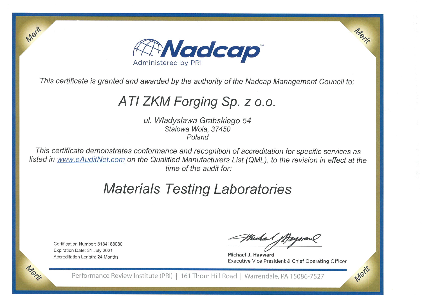

This certificate is granted and awarded by the authority of the Nadcap Management Council to:

# ATI ZKM Forging Sp. z o.o.

ul. Wladyslawa Grabskiego 54 Stalowa Wola, 37450 Poland

This certificate demonstrates conformance and recognition of accreditation for specific services as listed in www.eAuditNet.com on the Qualified Manufacturers List (QML), to the revision in effect at the time of the audit for:

# **Materials Testing Laboratories**

Certification Number: 8184188080 Expiration Date: 31 July 2021 Accreditation Length: 24 Months

Merit

Michael 100

Michael J. Havward Executive Vice President & Chief Operating Officer

Morie

Merit

Performance Review Institute (PRI) | 161 Thorn Hill Road | Warrendale, PA 15086-7527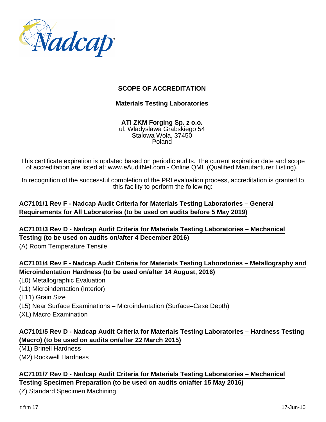

#### **SCOPE OF ACCREDITATION**

#### **Materials Testing Laboratories**

**ATI ZKM Forging Sp. z o.o.** ul. Wladyslawa Grabskiego 54 Stalowa Wola, 37450 Poland

This certificate expiration is updated based on periodic audits. The current expiration date and scope of accreditation are listed at: www.eAuditNet.com - Online QML (Qualified Manufacturer Listing).

In recognition of the successful completion of the PRI evaluation process, accreditation is granted to this facility to perform the following:

#### **AC7101/1 Rev F - Nadcap Audit Criteria for Materials Testing Laboratories – General Requirements for All Laboratories (to be used on audits before 5 May 2019)**

# **AC7101/3 Rev D - Nadcap Audit Criteria for Materials Testing Laboratories – Mechanical Testing (to be used on audits on/after 4 December 2016)**

(A) Room Temperature Tensile

# **AC7101/4 Rev F - Nadcap Audit Criteria for Materials Testing Laboratories – Metallography and Microindentation Hardness (to be used on/after 14 August, 2016)**

- (L0) Metallographic Evaluation
- (L1) Microindentation (Interior)
- (L11) Grain Size
- (L5) Near Surface Examinations Microindentation (Surface–Case Depth)
- (XL) Macro Examination

# **AC7101/5 Rev D - Nadcap Audit Criteria for Materials Testing Laboratories – Hardness Testing (Macro) (to be used on audits on/after 22 March 2015)**

- (M1) Brinell Hardness
- (M2) Rockwell Hardness

#### **AC7101/7 Rev D - Nadcap Audit Criteria for Materials Testing Laboratories – Mechanical Testing Specimen Preparation (to be used on audits on/after 15 May 2016)**

(Z) Standard Specimen Machining